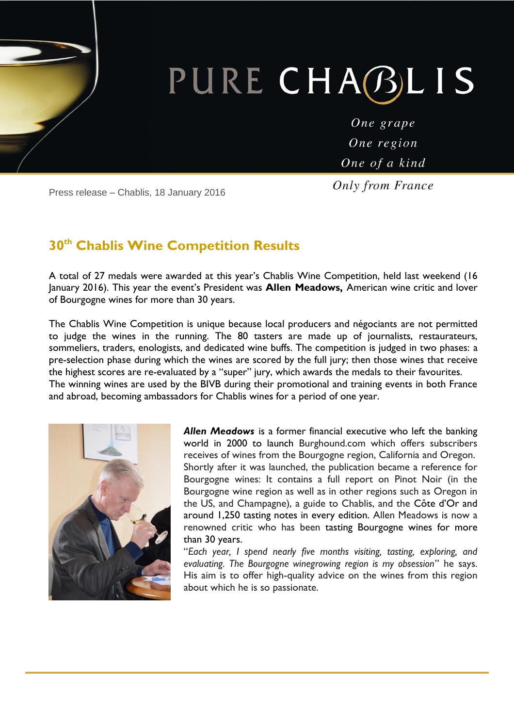# PURE CHABLIS

One grape One region One of a kind

Press release – Chablis, 18 January 2016

**Only from France** 

### **30th Chablis Wine Competition Results**

A total of 27 medals were awarded at this year's Chablis Wine Competition, held last weekend (16 January 2016). This year the event's President was **Allen Meadows,** American wine critic and lover of Bourgogne wines for more than 30 years.

The Chablis Wine Competition is unique because local producers and négociants are not permitted to judge the wines in the running. The 80 tasters are made up of journalists, restaurateurs, sommeliers, traders, enologists, and dedicated wine buffs. The competition is judged in two phases: a pre-selection phase during which the wines are scored by the full jury; then those wines that receive the highest scores are re-evaluated by a "super" jury, which awards the medals to their favourites. The winning wines are used by the BIVB during their promotional and training events in both France and abroad, becoming ambassadors for Chablis wines for a period of one year.



*Allen Meadows* is a former financial executive who left the banking world in 2000 to launch Burghound.com which offers subscribers receives of wines from the Bourgogne region, California and Oregon. Shortly after it was launched, the publication became a reference for Bourgogne wines: It contains a full report on Pinot Noir (in the Bourgogne wine region as well as in other regions such as Oregon in the US, and Champagne), a guide to Chablis, and the Côte d'Or and around 1,250 tasting notes in every edition. Allen Meadows is now a renowned critic who has been tasting [Bourgogne](http://www.cavissima.com/p-vente-vin,region-bourgogne-787,classification-grand-cru-268.html?categorie_url=p-vente-vin&caracteristique=region-bourgogne-787%2Cclassification-grand-cru-268&page=1&order=prix_asc) wines for more than 30 years.

"*Each year, I spend nearly five months visiting, tasting, exploring, and evaluating. The Bourgogne winegrowing region is my obsession*" he says. His aim is to offer high-quality advice on the wines from this region about which he is so passionate.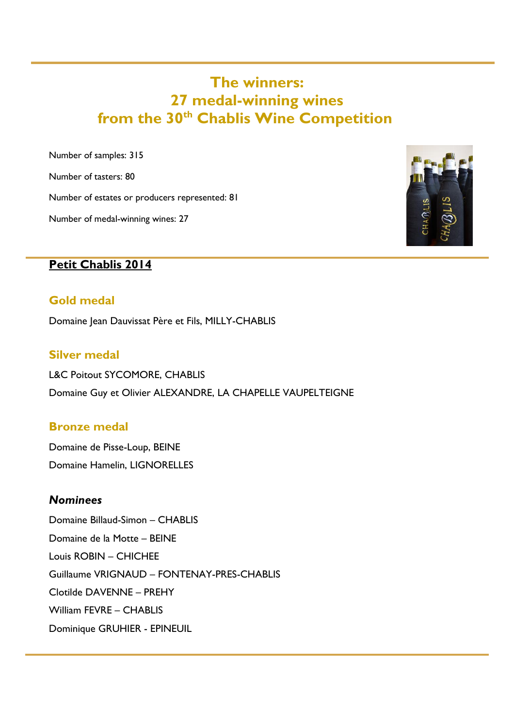## **The winners: 27 medal-winning wines from the 30th Chablis Wine Competition**

Number of samples: 315

Number of tasters: 80

Number of estates or producers represented: 81

Number of medal-winning wines: 27



#### **Petit Chablis 2014**

#### **Gold medal**

Domaine Jean Dauvissat Père et Fils, MILLY-CHABLIS

#### **Silver medal**

L&C Poitout SYCOMORE, CHABLIS Domaine Guy et Olivier ALEXANDRE, LA CHAPELLE VAUPELTEIGNE

#### **Bronze medal**

Domaine de Pisse-Loup, BEINE Domaine Hamelin, LIGNORELLES

#### *Nominees*

Domaine Billaud-Simon – CHABLIS Domaine de la Motte – BEINE Louis ROBIN – CHICHEE Guillaume VRIGNAUD – FONTENAY-PRES-CHABLIS Clotilde DAVENNE – PREHY William FEVRE – CHABLIS Dominique GRUHIER - EPINEUIL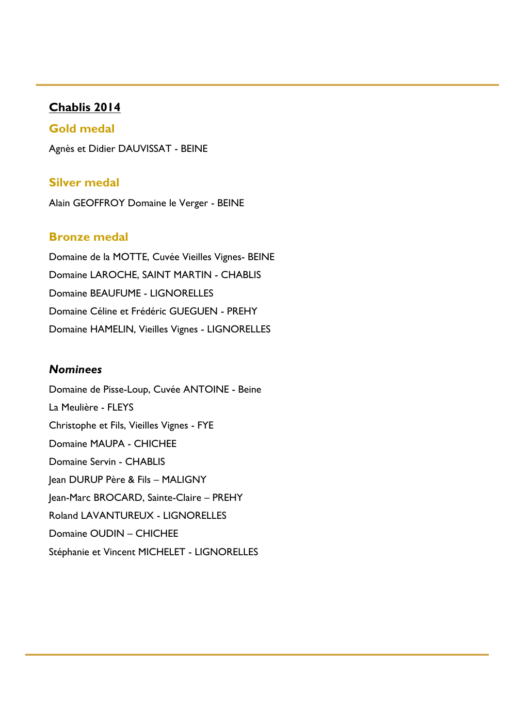#### **Chablis 2014**

#### **Gold medal**

Agnès et Didier DAUVISSAT - BEINE

#### **Silver medal**

Alain GEOFFROY Domaine le Verger - BEINE

#### **Bronze medal**

Domaine de la MOTTE, Cuvée Vieilles Vignes- BEINE Domaine LAROCHE, SAINT MARTIN - CHABLIS Domaine BEAUFUME - LIGNORELLES Domaine Céline et Frédéric GUEGUEN - PREHY Domaine HAMELIN, Vieilles Vignes - LIGNORELLES

#### *Nominees*

Domaine de Pisse-Loup, Cuvée ANTOINE - Beine La Meulière - FLEYS Christophe et Fils, Vieilles Vignes - FYE Domaine MAUPA - CHICHEE Domaine Servin - CHABLIS Jean DURUP Père & Fils – MALIGNY Jean-Marc BROCARD, Sainte-Claire – PREHY Roland LAVANTUREUX - LIGNORELLES Domaine OUDIN – CHICHEE Stéphanie et Vincent MICHELET - LIGNORELLES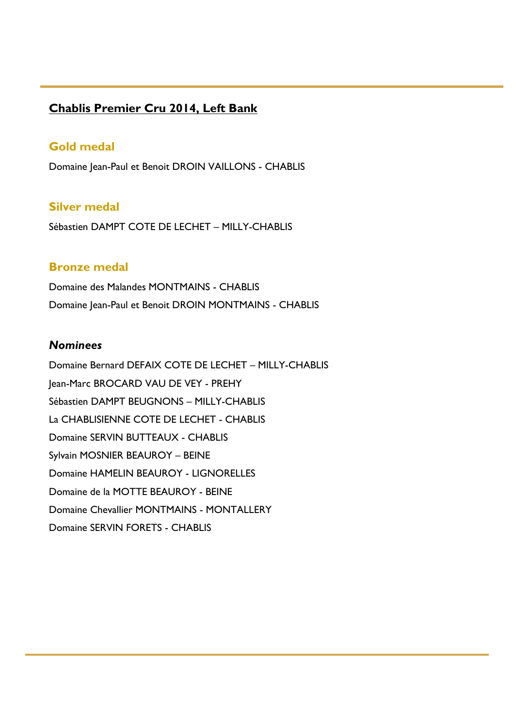#### **Chablis Premier Cru 2014, Left Bank**

#### **Gold medal**

Domaine Jean-Paul et Benoit DROIN VAILLONS - CHABLIS

#### **Silver medal**

Sébastien DAMPT COTE DE LECHET – MILLY-CHABLIS

#### **Bronze medal**

Domaine des Malandes MONTMAINS - CHABLIS Domaine Jean-Paul et Benoit DROIN MONTMAINS - CHABLIS

#### *Nominees*

Domaine Bernard DEFAIX COTE DE LECHET – MILLY-CHABLIS Jean-Marc BROCARD VAU DE VEY - PREHY Sébastien DAMPT BEUGNONS – MILLY-CHABLIS La CHABLISIENNE COTE DE LECHET - CHABLIS Domaine SERVIN BUTTEAUX - CHABLIS Sylvain MOSNIER BEAUROY – BEINE Domaine HAMELIN BEAUROY - LIGNORELLES Domaine de la MOTTE BEAUROY - BEINE Domaine Chevallier MONTMAINS - MONTALLERY Domaine SERVIN FORETS - CHABLIS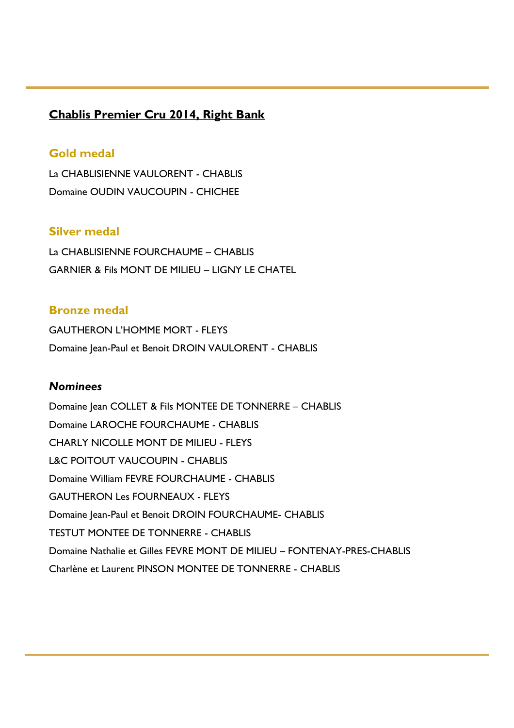#### **Chablis Premier Cru 2014, Right Bank**

#### **Gold medal**

La CHABLISIENNE VAULORENT - CHABLIS Domaine OUDIN VAUCOUPIN - CHICHEE

#### **Silver medal**

La CHABLISIENNE FOURCHAUME – CHABLIS GARNIER & Fils MONT DE MILIEU – LIGNY LE CHATEL

#### **Bronze medal**

GAUTHERON L'HOMME MORT - FLEYS Domaine Jean-Paul et Benoit DROIN VAULORENT - CHABLIS

#### *Nominees*

Domaine Jean COLLET & Fils MONTEE DE TONNERRE – CHABLIS Domaine LAROCHE FOURCHAUME - CHABLIS CHARLY NICOLLE MONT DE MILIEU - FLEYS L&C POITOUT VAUCOUPIN - CHABLIS Domaine William FEVRE FOURCHAUME - CHABLIS GAUTHERON Les FOURNEAUX - FLEYS Domaine Jean-Paul et Benoit DROIN FOURCHAUME- CHABLIS TESTUT MONTEE DE TONNERRE - CHABLIS Domaine Nathalie et Gilles FEVRE MONT DE MILIEU – FONTENAY-PRES-CHABLIS Charlène et Laurent PINSON MONTEE DE TONNERRE - CHABLIS